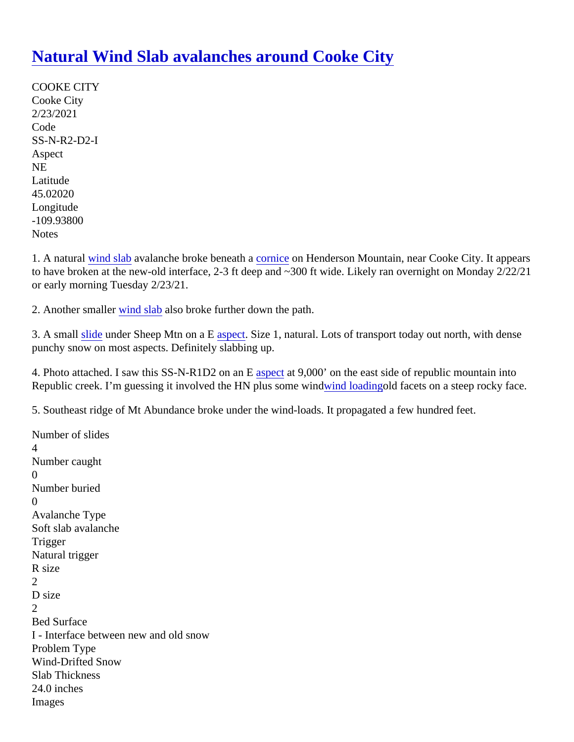## [Natural Wind Slab avalanches around Cooke Cit](https://www.mtavalanche.com/node/24401)y

COOKE CITY Cooke City 2/23/2021 Code SS-N-R2-D2-I Aspect NE Latitude 45.02020 Longitude -109.93800 **Notes** 

1. A natura[l wind slab](https://www.mtavalanche.com/taxonomy/term/326) avalanche broke beneat **to antice on** Henderson Mountain, near Cooke City. It appears to have broken at the new-old interface, 2-3 ft deep and ~300 ft wide. Likely ran overnight on Monday 2/22/21 or early morning Tuesday 2/23/21.

2. Another smallewind slabalso broke further down the path.

3. A small [slide](https://www.mtavalanche.com/taxonomy/term/305) under Sheep Mtn on a **E** spect Size 1, natural[.](https://www.mtavalanche.com/taxonomy/term/258) Lots of transport today out north, with dense punchy snow on most aspects. Definitely slabbing up.

4. Photo attached. I saw this SS-N-R1D2 on as **Example 2000** on the east side of republic mountain into Republic creek. I'm guessing it involved the HN plus some [wind loadingo](https://www.mtavalanche.com/taxonomy/term/325)ld facets on a steep rocky face.

5. Southeast ridge of Mt Abundance broke under the wind-loads. It propagated a few hundred feet.

Number of slides 4 Number caught  $\Omega$ Number buried  $\Omega$ Avalanche Type Soft slab avalanche **Trigger** Natural trigger R size 2 D size  $\mathcal{P}$ Bed Surface I - Interface between new and old snow Problem Type Wind-Drifted Snow Slab Thickness 24.0 inches Images